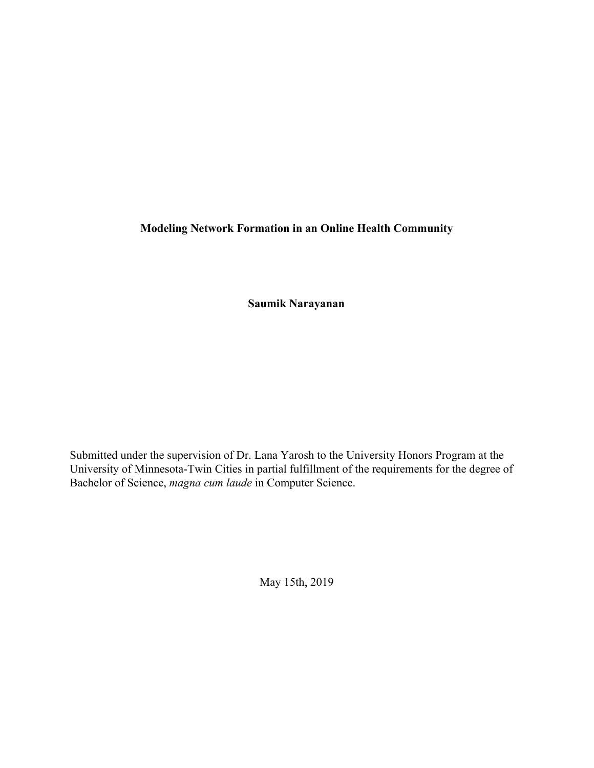**Modeling Network Formation in an Online Health Community**

**Saumik Narayanan**

Submitted under the supervision of Dr. Lana Yarosh to the University Honors Program at the University of Minnesota-Twin Cities in partial fulfillment of the requirements for the degree of Bachelor of Science, *magna cum laude* in Computer Science.

May 15th, 2019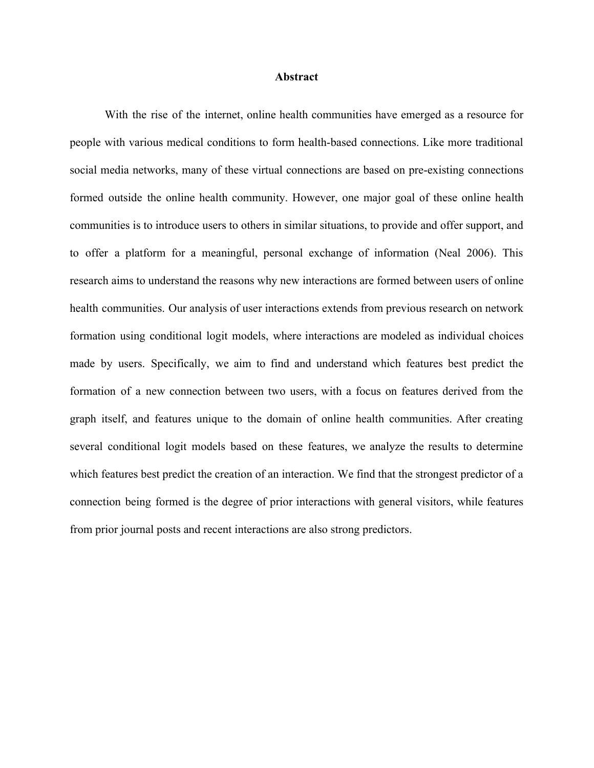#### **Abstract**

With the rise of the internet, online health communities have emerged as a resource for people with various medical conditions to form health-based connections. Like more traditional social media networks, many of these virtual connections are based on pre-existing connections formed outside the online health community. However, one major goal of these online health communities is to introduce users to others in similar situations, to provide and offer support, and to offer a platform for a meaningful, personal exchange of information (Neal 2006). This research aims to understand the reasons why new interactions are formed between users of online health communities. Our analysis of user interactions extends from previous research on network formation using conditional logit models, where interactions are modeled as individual choices made by users. Specifically, we aim to find and understand which features best predict the formation of a new connection between two users, with a focus on features derived from the graph itself, and features unique to the domain of online health communities. After creating several conditional logit models based on these features, we analyze the results to determine which features best predict the creation of an interaction. We find that the strongest predictor of a connection being formed is the degree of prior interactions with general visitors, while features from prior journal posts and recent interactions are also strong predictors.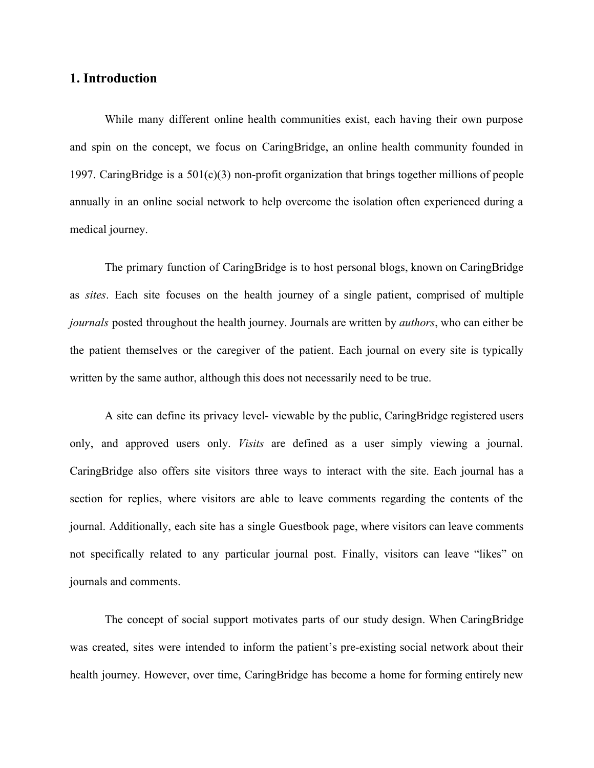## **1. Introduction**

While many different online health communities exist, each having their own purpose and spin on the concept, we focus on CaringBridge, an online health community founded in 1997. CaringBridge is a 501(c)(3) non-profit organization that brings together millions of people annually in an online social network to help overcome the isolation often experienced during a medical journey.

The primary function of CaringBridge is to host personal blogs, known on CaringBridge as *sites*. Each site focuses on the health journey of a single patient, comprised of multiple *journals* posted throughout the health journey. Journals are written by *authors*, who can either be the patient themselves or the caregiver of the patient. Each journal on every site is typically written by the same author, although this does not necessarily need to be true.

A site can define its privacy level- viewable by the public, CaringBridge registered users only, and approved users only. *Visits* are defined as a user simply viewing a journal. CaringBridge also offers site visitors three ways to interact with the site. Each journal has a section for replies, where visitors are able to leave comments regarding the contents of the journal. Additionally, each site has a single Guestbook page, where visitors can leave comments not specifically related to any particular journal post. Finally, visitors can leave "likes" on journals and comments.

The concept of social support motivates parts of our study design. When CaringBridge was created, sites were intended to inform the patient's pre-existing social network about their health journey. However, over time, CaringBridge has become a home for forming entirely new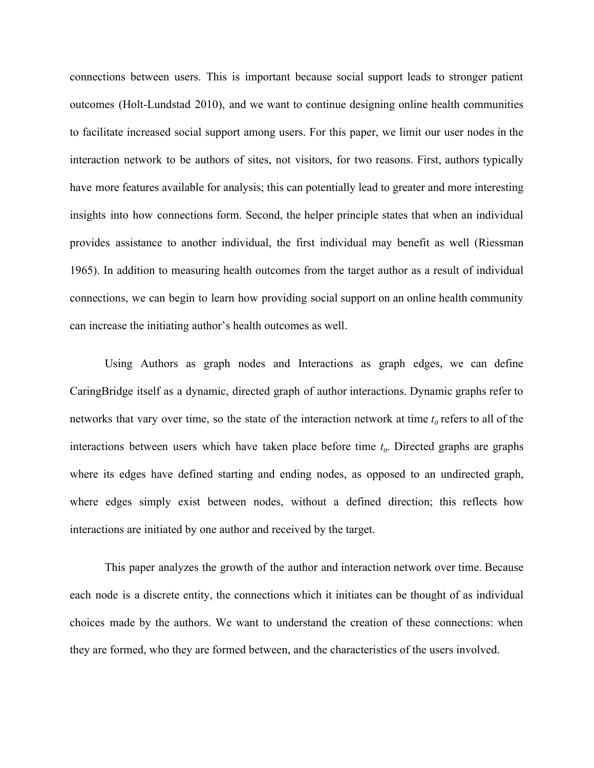connections between users. This is important because social support leads to stronger patient outcomes (Holt-Lundstad 2010), and we want to continue designing online health communities to facilitate increased social support among users. For this paper, we limit our user nodes in the interaction network to be authors of sites, not visitors, for two reasons. First, authors typically have more features available for analysis; this can potentially lead to greater and more interesting insights into how connections form. Second, the helper principle states that when an individual provides assistance to another individual, the first individual may benefit as well (Riessman 1965). In addition to measuring health outcomes from the target author as a result of individual connections, we can begin to learn how providing social support on an online health community can increase the initiating author's health outcomes as well.

Using Authors as graph nodes and Interactions as graph edges, we can define CaringBridge itself as a dynamic, directed graph of author interactions. Dynamic graphs refer to networks that vary over time, so the state of the interaction network at time  $t_0$  refers to all of the interactions between users which have taken place before time  $t<sub>0</sub>$ . Directed graphs are graphs where its edges have defined starting and ending nodes, as opposed to an undirected graph, where edges simply exist between nodes, without a defined direction; this reflects how interactions are initiated by one author and received by the target.

This paper analyzes the growth of the author and interaction network over time. Because each node is a discrete entity, the connections which it initiates can be thought of as individual choices made by the authors. We want to understand the creation of these connections: when they are formed, who they are formed between, and the characteristics of the users involved.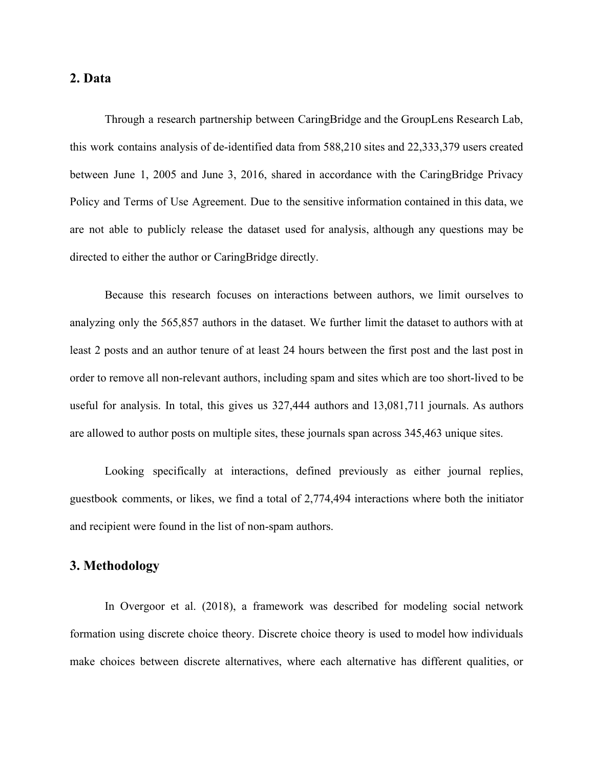## **2. Data**

Through a research partnership between CaringBridge and the GroupLens Research Lab, this work contains analysis of de-identified data from 588,210 sites and 22,333,379 users created between June 1, 2005 and June 3, 2016, shared in accordance with the CaringBridge Privacy Policy and Terms of Use Agreement. Due to the sensitive information contained in this data, we are not able to publicly release the dataset used for analysis, although any questions may be directed to either the author or CaringBridge directly.

Because this research focuses on interactions between authors, we limit ourselves to analyzing only the 565,857 authors in the dataset. We further limit the dataset to authors with at least 2 posts and an author tenure of at least 24 hours between the first post and the last post in order to remove all non-relevant authors, including spam and sites which are too short-lived to be useful for analysis. In total, this gives us 327,444 authors and 13,081,711 journals. As authors are allowed to author posts on multiple sites, these journals span across 345,463 unique sites.

Looking specifically at interactions, defined previously as either journal replies, guestbook comments, or likes, we find a total of 2,774,494 interactions where both the initiator and recipient were found in the list of non-spam authors.

## **3. Methodology**

In Overgoor et al. (2018), a framework was described for modeling social network formation using discrete choice theory. Discrete choice theory is used to model how individuals make choices between discrete alternatives, where each alternative has different qualities, or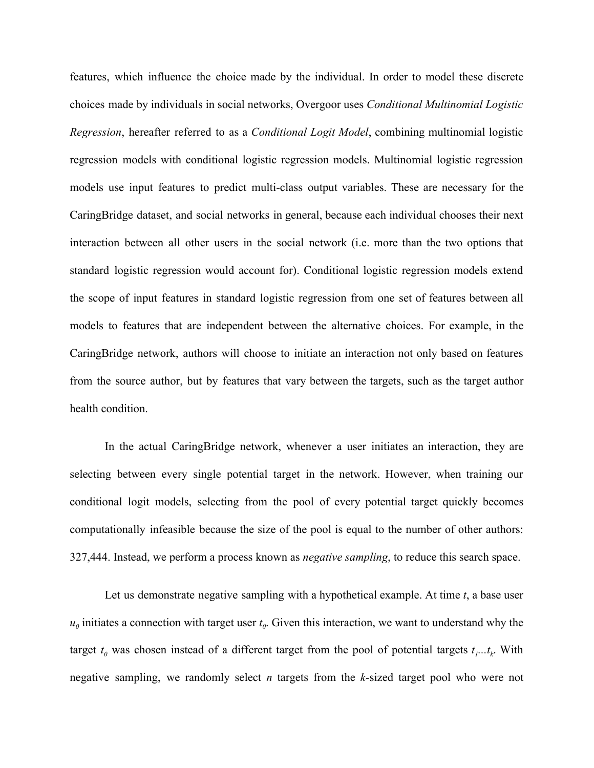features, which influence the choice made by the individual. In order to model these discrete choices made by individuals in social networks, Overgoor uses *Conditional Multinomial Logistic Regression*, hereafter referred to as a *Conditional Logit Model*, combining multinomial logistic regression models with conditional logistic regression models. Multinomial logistic regression models use input features to predict multi-class output variables. These are necessary for the CaringBridge dataset, and social networks in general, because each individual chooses their next interaction between all other users in the social network (i.e. more than the two options that standard logistic regression would account for). Conditional logistic regression models extend the scope of input features in standard logistic regression from one set of features between all models to features that are independent between the alternative choices. For example, in the CaringBridge network, authors will choose to initiate an interaction not only based on features from the source author, but by features that vary between the targets, such as the target author health condition.

In the actual CaringBridge network, whenever a user initiates an interaction, they are selecting between every single potential target in the network. However, when training our conditional logit models, selecting from the pool of every potential target quickly becomes computationally infeasible because the size of the pool is equal to the number of other authors: 327,444. Instead, we perform a process known as *negative sampling*, to reduce this search space.

Let us demonstrate negative sampling with a hypothetical example. At time *t*, a base user  $u_0$  initiates a connection with target user  $t_0$ . Given this interaction, we want to understand why the target  $t_0$  was chosen instead of a different target from the pool of potential targets  $t_1 \dots t_k$ . With negative sampling, we randomly select *n* targets from the *k*-sized target pool who were not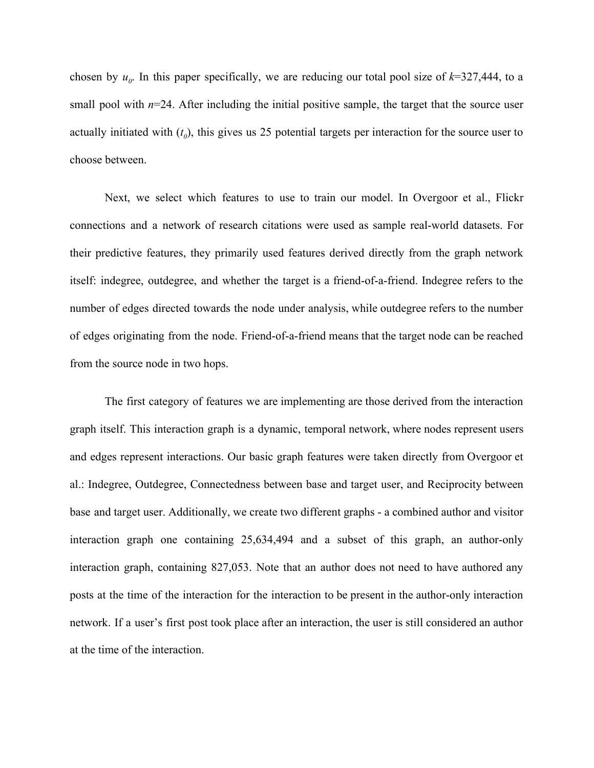chosen by  $u_0$ . In this paper specifically, we are reducing our total pool size of  $k=327,444$ , to a small pool with  $n=24$ . After including the initial positive sample, the target that the source user actually initiated with (*t<sup>0</sup>* ), this gives us 25 potential targets per interaction for the source user to choose between.

Next, we select which features to use to train our model. In Overgoor et al., Flickr connections and a network of research citations were used as sample real-world datasets. For their predictive features, they primarily used features derived directly from the graph network itself: indegree, outdegree, and whether the target is a friend-of-a-friend. Indegree refers to the number of edges directed towards the node under analysis, while outdegree refers to the number of edges originating from the node. Friend-of-a-friend means that the target node can be reached from the source node in two hops.

The first category of features we are implementing are those derived from the interaction graph itself. This interaction graph is a dynamic, temporal network, where nodes represent users and edges represent interactions. Our basic graph features were taken directly from Overgoor et al.: Indegree, Outdegree, Connectedness between base and target user, and Reciprocity between base and target user. Additionally, we create two different graphs - a combined author and visitor interaction graph one containing 25,634,494 and a subset of this graph, an author-only interaction graph, containing 827,053. Note that an author does not need to have authored any posts at the time of the interaction for the interaction to be present in the author-only interaction network. If a user's first post took place after an interaction, the user is still considered an author at the time of the interaction.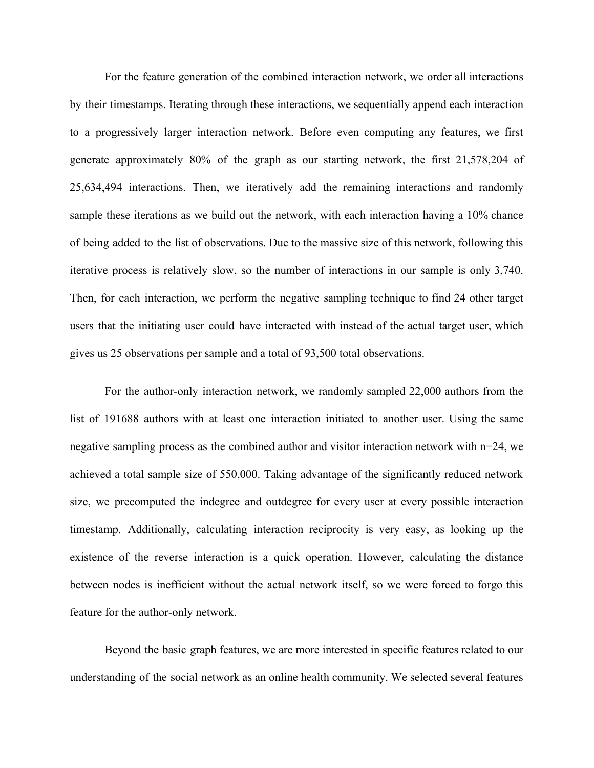For the feature generation of the combined interaction network, we order all interactions by their timestamps. Iterating through these interactions, we sequentially append each interaction to a progressively larger interaction network. Before even computing any features, we first generate approximately 80% of the graph as our starting network, the first 21,578,204 of 25,634,494 interactions. Then, we iteratively add the remaining interactions and randomly sample these iterations as we build out the network, with each interaction having a 10% chance of being added to the list of observations. Due to the massive size of this network, following this iterative process is relatively slow, so the number of interactions in our sample is only 3,740. Then, for each interaction, we perform the negative sampling technique to find 24 other target users that the initiating user could have interacted with instead of the actual target user, which gives us 25 observations per sample and a total of 93,500 total observations.

For the author-only interaction network, we randomly sampled 22,000 authors from the list of 191688 authors with at least one interaction initiated to another user. Using the same negative sampling process as the combined author and visitor interaction network with n=24, we achieved a total sample size of 550,000. Taking advantage of the significantly reduced network size, we precomputed the indegree and outdegree for every user at every possible interaction timestamp. Additionally, calculating interaction reciprocity is very easy, as looking up the existence of the reverse interaction is a quick operation. However, calculating the distance between nodes is inefficient without the actual network itself, so we were forced to forgo this feature for the author-only network.

Beyond the basic graph features, we are more interested in specific features related to our understanding of the social network as an online health community. We selected several features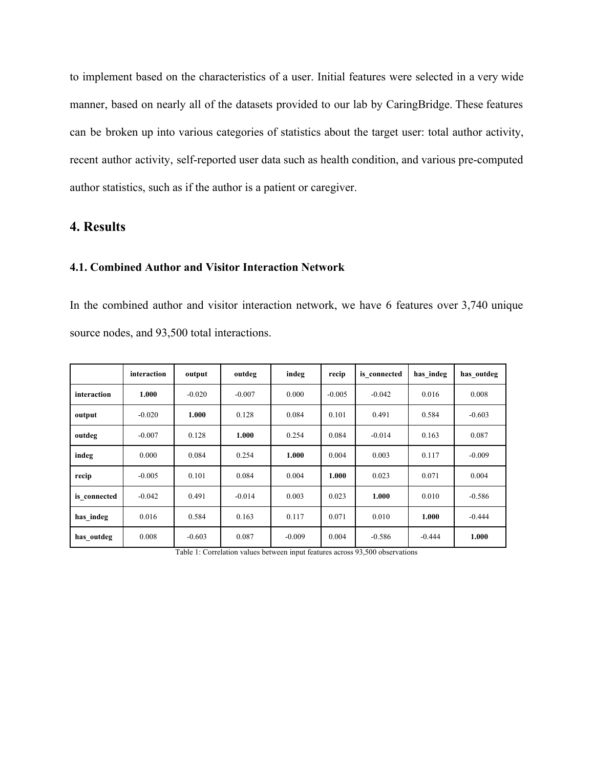to implement based on the characteristics of a user. Initial features were selected in a very wide manner, based on nearly all of the datasets provided to our lab by CaringBridge. These features can be broken up into various categories of statistics about the target user: total author activity, recent author activity, self-reported user data such as health condition, and various pre-computed author statistics, such as if the author is a patient or caregiver.

# **4. Results**

#### **4.1. Combined Author and Visitor Interaction Network**

In the combined author and visitor interaction network, we have 6 features over 3,740 unique source nodes, and 93,500 total interactions.

|              | interaction | output   | outdeg   | indeg    | recip    | is connected | has indeg | has outdeg |
|--------------|-------------|----------|----------|----------|----------|--------------|-----------|------------|
| interaction  | 1.000       | $-0.020$ | $-0.007$ | 0.000    | $-0.005$ | $-0.042$     | 0.016     | 0.008      |
| output       | $-0.020$    | 1.000    | 0.128    | 0.084    | 0.101    | 0.491        | 0.584     | $-0.603$   |
| outdeg       | $-0.007$    | 0.128    | 1.000    | 0.254    | 0.084    | $-0.014$     | 0.163     | 0.087      |
| indeg        | 0.000       | 0.084    | 0.254    | 1.000    | 0.004    | 0.003        | 0.117     | $-0.009$   |
| recip        | $-0.005$    | 0.101    | 0.084    | 0.004    | 1.000    | 0.023        | 0.071     | 0.004      |
| is connected | $-0.042$    | 0.491    | $-0.014$ | 0.003    | 0.023    | 1.000        | 0.010     | $-0.586$   |
| has indeg    | 0.016       | 0.584    | 0.163    | 0.117    | 0.071    | 0.010        | 1.000     | $-0.444$   |
| has outdeg   | 0.008       | $-0.603$ | 0.087    | $-0.009$ | 0.004    | $-0.586$     | $-0.444$  | 1.000      |

Table 1: Correlation values between input features across 93,500 observations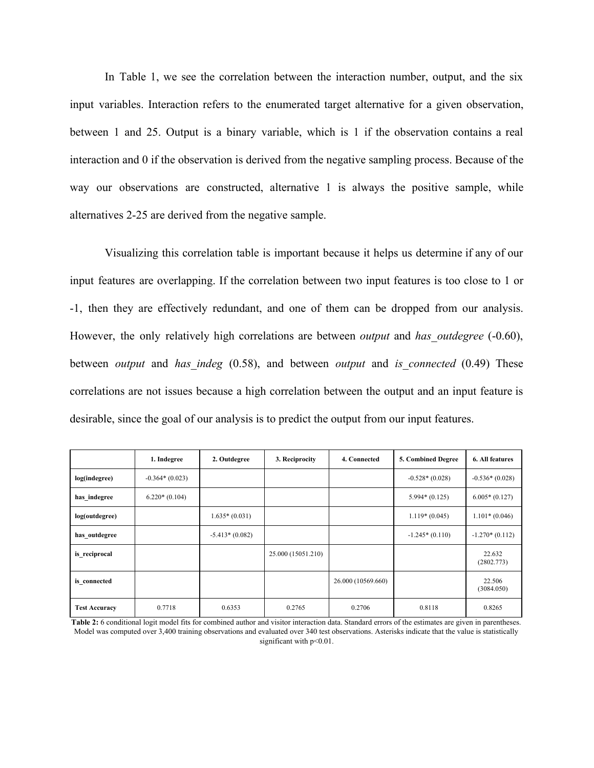In Table 1, we see the correlation between the interaction number, output, and the six input variables. Interaction refers to the enumerated target alternative for a given observation, between 1 and 25. Output is a binary variable, which is 1 if the observation contains a real interaction and 0 if the observation is derived from the negative sampling process. Because of the way our observations are constructed, alternative 1 is always the positive sample, while alternatives 2-25 are derived from the negative sample.

Visualizing this correlation table is important because it helps us determine if any of our input features are overlapping. If the correlation between two input features is too close to 1 or -1, then they are effectively redundant, and one of them can be dropped from our analysis. However, the only relatively high correlations are between *output* and *has\_outdegree* (-0.60), between *output* and *has\_indeg* (0.58), and between *output* and *is\_connected* (0.49) These correlations are not issues because a high correlation between the output and an input feature is desirable, since the goal of our analysis is to predict the output from our input features.

|                      | 1. Indegree      | 2. Outdegree     | 3. Reciprocity     | 4. Connected       | 5. Combined Degree | 6. All features      |
|----------------------|------------------|------------------|--------------------|--------------------|--------------------|----------------------|
| log(indegree)        | $-0.364*(0.023)$ |                  |                    |                    | $-0.528*(0.028)$   | $-0.536*(0.028)$     |
| has indegree         | $6.220*(0.104)$  |                  |                    |                    | $5.994*(0.125)$    | $6.005*(0.127)$      |
| log(outdegree)       |                  | $1.635*(0.031)$  |                    |                    | $1.119*(0.045)$    | $1.101*(0.046)$      |
| has outdegree        |                  | $-5.413*(0.082)$ |                    |                    | $-1.245*(0.110)$   | $-1.270*(0.112)$     |
| is reciprocal        |                  |                  | 25.000 (15051.210) |                    |                    | 22.632<br>(2802.773) |
| is connected         |                  |                  |                    | 26.000 (10569.660) |                    | 22.506<br>(3084.050) |
| <b>Test Accuracy</b> | 0.7718           | 0.6353           | 0.2765             | 0.2706             | 0.8118             | 0.8265               |

**Table 2:** 6 conditional logit model fits for combined author and visitor interaction data. Standard errors of the estimates are given in parentheses. Model was computed over 3,400 training observations and evaluated over 340 test observations. Asterisks indicate that the value is statistically significant with  $p<0.01$ .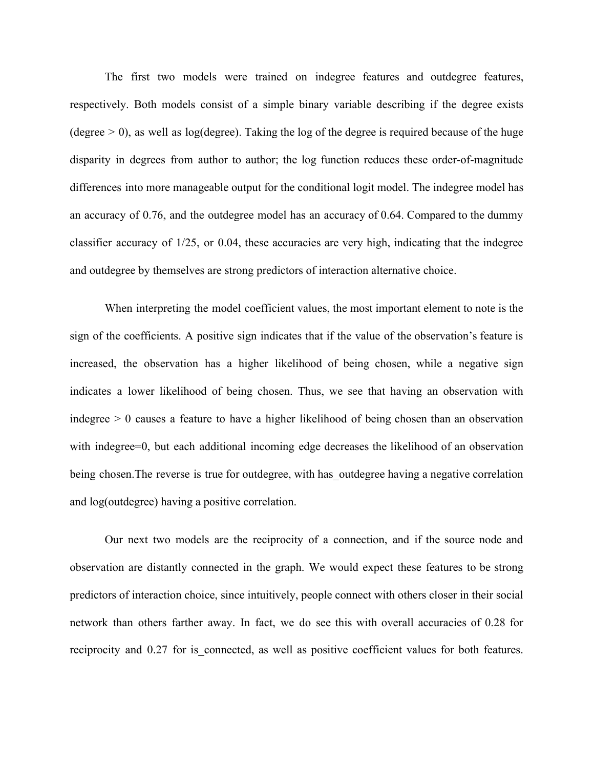The first two models were trained on indegree features and outdegree features, respectively. Both models consist of a simple binary variable describing if the degree exists (degree  $> 0$ ), as well as log(degree). Taking the log of the degree is required because of the huge disparity in degrees from author to author; the log function reduces these order-of-magnitude differences into more manageable output for the conditional logit model. The indegree model has an accuracy of 0.76, and the outdegree model has an accuracy of 0.64. Compared to the dummy classifier accuracy of 1/25, or 0.04, these accuracies are very high, indicating that the indegree and outdegree by themselves are strong predictors of interaction alternative choice.

When interpreting the model coefficient values, the most important element to note is the sign of the coefficients. A positive sign indicates that if the value of the observation's feature is increased, the observation has a higher likelihood of being chosen, while a negative sign indicates a lower likelihood of being chosen. Thus, we see that having an observation with indegree  $> 0$  causes a feature to have a higher likelihood of being chosen than an observation with indegree=0, but each additional incoming edge decreases the likelihood of an observation being chosen. The reverse is true for outdegree, with has outdegree having a negative correlation and log(outdegree) having a positive correlation.

Our next two models are the reciprocity of a connection, and if the source node and observation are distantly connected in the graph. We would expect these features to be strong predictors of interaction choice, since intuitively, people connect with others closer in their social network than others farther away. In fact, we do see this with overall accuracies of 0.28 for reciprocity and 0.27 for is connected, as well as positive coefficient values for both features.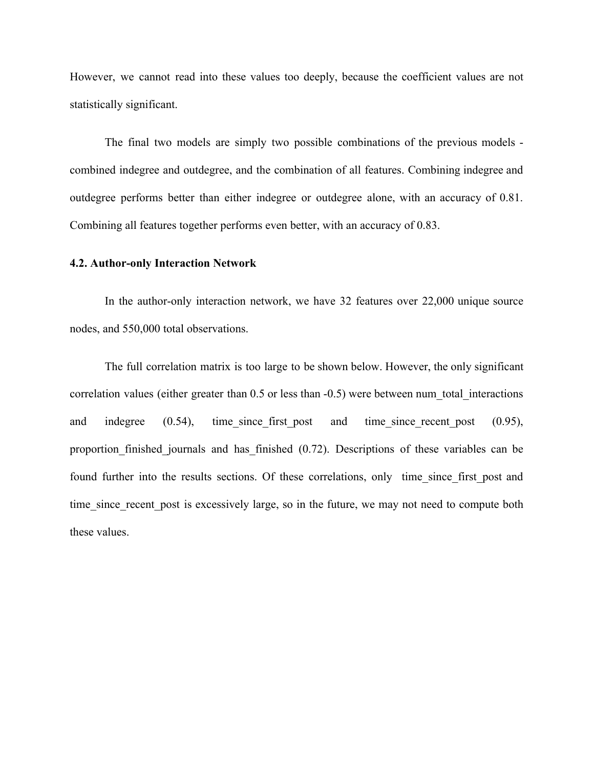However, we cannot read into these values too deeply, because the coefficient values are not statistically significant.

The final two models are simply two possible combinations of the previous models combined indegree and outdegree, and the combination of all features. Combining indegree and outdegree performs better than either indegree or outdegree alone, with an accuracy of 0.81. Combining all features together performs even better, with an accuracy of 0.83.

### **4.2. Author-only Interaction Network**

In the author-only interaction network, we have 32 features over 22,000 unique source nodes, and 550,000 total observations.

The full correlation matrix is too large to be shown below. However, the only significant correlation values (either greater than 0.5 or less than -0.5) were between num total interactions and indegree  $(0.54)$ , time since first post and time since recent post  $(0.95)$ , proportion finished journals and has finished (0.72). Descriptions of these variables can be found further into the results sections. Of these correlations, only time since first post and time since recent post is excessively large, so in the future, we may not need to compute both these values.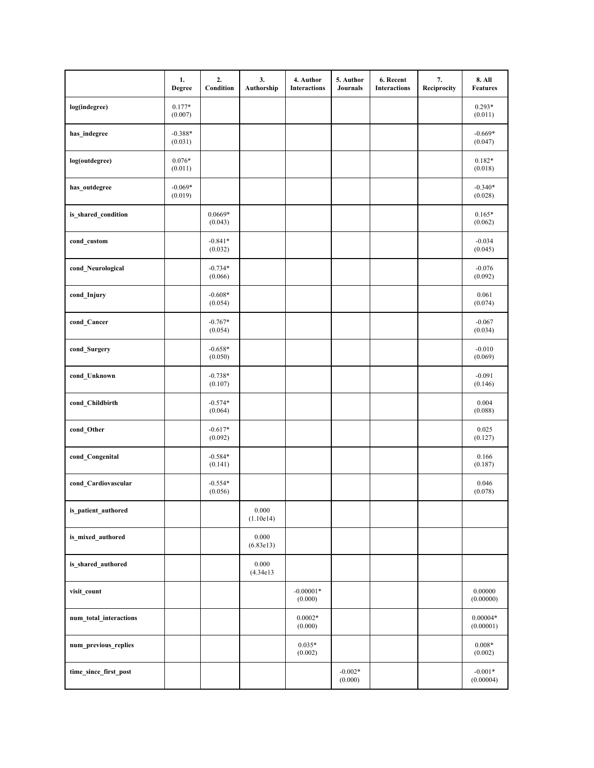|                        | 1.<br><b>Degree</b>  | 2.<br>Condition      | 3.<br>Authorship   | 4. Author<br><b>Interactions</b> | 5. Author<br><b>Journals</b> | 6. Recent<br><b>Interactions</b> | 7.<br>Reciprocity | 8. All<br><b>Features</b> |
|------------------------|----------------------|----------------------|--------------------|----------------------------------|------------------------------|----------------------------------|-------------------|---------------------------|
| log(indegree)          | $0.177*$<br>(0.007)  |                      |                    |                                  |                              |                                  |                   | $0.293*$<br>(0.011)       |
| has_indegree           | $-0.388*$<br>(0.031) |                      |                    |                                  |                              |                                  |                   | $-0.669*$<br>(0.047)      |
| log(outdegree)         | $0.076*$<br>(0.011)  |                      |                    |                                  |                              |                                  |                   | $0.182*$<br>(0.018)       |
| has_outdegree          | $-0.069*$<br>(0.019) |                      |                    |                                  |                              |                                  |                   | $-0.340*$<br>(0.028)      |
| is_shared_condition    |                      | $0.0669*$<br>(0.043) |                    |                                  |                              |                                  |                   | $0.165*$<br>(0.062)       |
| cond_custom            |                      | $-0.841*$<br>(0.032) |                    |                                  |                              |                                  |                   | $-0.034$<br>(0.045)       |
| cond_Neurological      |                      | $-0.734*$<br>(0.066) |                    |                                  |                              |                                  |                   | $-0.076$<br>(0.092)       |
| cond_Injury            |                      | $-0.608*$<br>(0.054) |                    |                                  |                              |                                  |                   | 0.061<br>(0.074)          |
| cond_Cancer            |                      | $-0.767*$<br>(0.054) |                    |                                  |                              |                                  |                   | $-0.067$<br>(0.034)       |
| cond_Surgery           |                      | $-0.658*$<br>(0.050) |                    |                                  |                              |                                  |                   | $-0.010$<br>(0.069)       |
| cond_Unknown           |                      | $-0.738*$<br>(0.107) |                    |                                  |                              |                                  |                   | $-0.091$<br>(0.146)       |
| cond_Childbirth        |                      | $-0.574*$<br>(0.064) |                    |                                  |                              |                                  |                   | 0.004<br>(0.088)          |
| cond_Other             |                      | $-0.617*$<br>(0.092) |                    |                                  |                              |                                  |                   | 0.025<br>(0.127)          |
| cond_Congenital        |                      | $-0.584*$<br>(0.141) |                    |                                  |                              |                                  |                   | 0.166<br>(0.187)          |
| cond_Cardiovascular    |                      | $-0.554*$<br>(0.056) |                    |                                  |                              |                                  |                   | 0.046<br>(0.078)          |
| is_patient_authored    |                      |                      | 0.000<br>(1.10e14) |                                  |                              |                                  |                   |                           |
| is_mixed_authored      |                      |                      | 0.000<br>(6.83e13) |                                  |                              |                                  |                   |                           |
| is shared authored     |                      |                      | 0.000<br>(4.34e13) |                                  |                              |                                  |                   |                           |
| visit_count            |                      |                      |                    | $-0.00001*$<br>(0.000)           |                              |                                  |                   | 0.00000<br>(0.00000)      |
| num total interactions |                      |                      |                    | $0.0002*$<br>(0.000)             |                              |                                  |                   | $0.00004*$<br>(0.00001)   |
| num_previous_replies   |                      |                      |                    | $0.035*$<br>(0.002)              |                              |                                  |                   | $0.008*$<br>(0.002)       |
| time_since_first_post  |                      |                      |                    |                                  | $-0.002*$<br>(0.000)         |                                  |                   | $-0.001*$<br>(0.00004)    |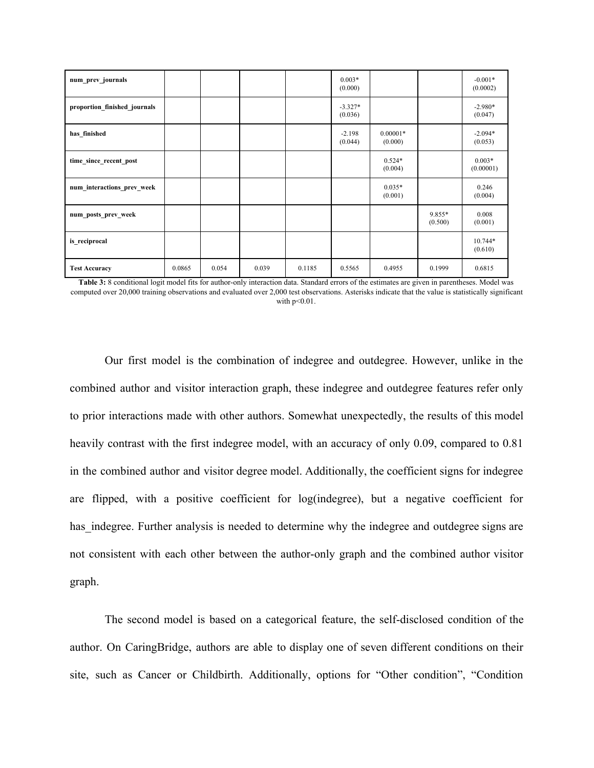| num prev journals            |        |       |       |        | $0.003*$<br>(0.000)  |                       |                     | $-0.001*$<br>(0.0002) |
|------------------------------|--------|-------|-------|--------|----------------------|-----------------------|---------------------|-----------------------|
| proportion_finished_journals |        |       |       |        | $-3.327*$<br>(0.036) |                       |                     | $-2.980*$<br>(0.047)  |
| has finished                 |        |       |       |        | $-2.198$<br>(0.044)  | $0.00001*$<br>(0.000) |                     | $-2.094*$<br>(0.053)  |
| time since recent post       |        |       |       |        |                      | $0.524*$<br>(0.004)   |                     | $0.003*$<br>(0.00001) |
| num interactions prev week   |        |       |       |        |                      | $0.035*$<br>(0.001)   |                     | 0.246<br>(0.004)      |
| num posts prev week          |        |       |       |        |                      |                       | $9.855*$<br>(0.500) | 0.008<br>(0.001)      |
| is_reciprocal                |        |       |       |        |                      |                       |                     | $10.744*$<br>(0.610)  |
| <b>Test Accuracy</b>         | 0.0865 | 0.054 | 0.039 | 0.1185 | 0.5565               | 0.4955                | 0.1999              | 0.6815                |

**Table 3:** 8 conditional logit model fits for author-only interaction data. Standard errors of the estimates are given in parentheses. Model was computed over 20,000 training observations and evaluated over 2,000 test observations. Asterisks indicate that the value is statistically significant with  $p<0.01$ .

Our first model is the combination of indegree and outdegree. However, unlike in the combined author and visitor interaction graph, these indegree and outdegree features refer only to prior interactions made with other authors. Somewhat unexpectedly, the results of this model heavily contrast with the first indegree model, with an accuracy of only 0.09, compared to 0.81 in the combined author and visitor degree model. Additionally, the coefficient signs for indegree are flipped, with a positive coefficient for log(indegree), but a negative coefficient for has indegree. Further analysis is needed to determine why the indegree and outdegree signs are not consistent with each other between the author-only graph and the combined author visitor graph.

The second model is based on a categorical feature, the self-disclosed condition of the author. On CaringBridge, authors are able to display one of seven different conditions on their site, such as Cancer or Childbirth. Additionally, options for "Other condition", "Condition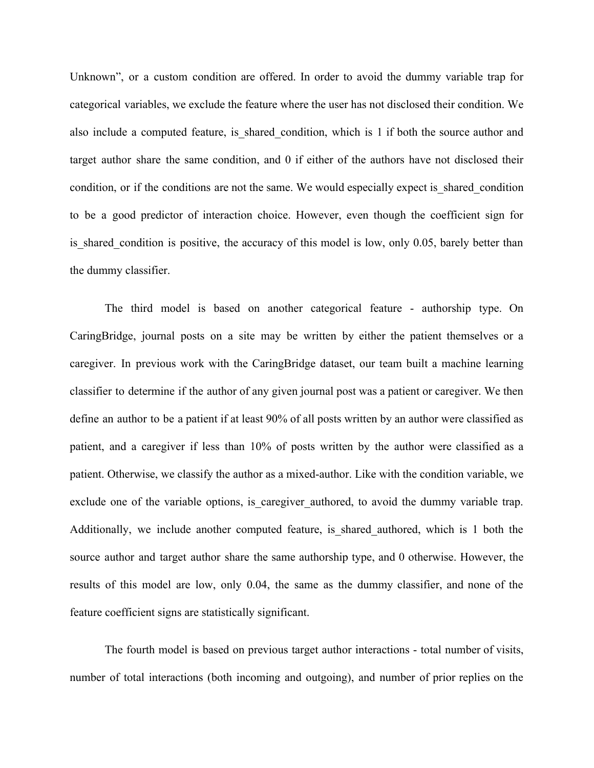Unknown", or a custom condition are offered. In order to avoid the dummy variable trap for categorical variables, we exclude the feature where the user has not disclosed their condition. We also include a computed feature, is shared condition, which is 1 if both the source author and target author share the same condition, and 0 if either of the authors have not disclosed their condition, or if the conditions are not the same. We would especially expect is shared condition to be a good predictor of interaction choice. However, even though the coefficient sign for is shared condition is positive, the accuracy of this model is low, only 0.05, barely better than the dummy classifier.

The third model is based on another categorical feature - authorship type. On CaringBridge, journal posts on a site may be written by either the patient themselves or a caregiver. In previous work with the CaringBridge dataset, our team built a machine learning classifier to determine if the author of any given journal post was a patient or caregiver. We then define an author to be a patient if at least 90% of all posts written by an author were classified as patient, and a caregiver if less than 10% of posts written by the author were classified as a patient. Otherwise, we classify the author as a mixed-author. Like with the condition variable, we exclude one of the variable options, is caregiver authored, to avoid the dummy variable trap. Additionally, we include another computed feature, is shared authored, which is 1 both the source author and target author share the same authorship type, and 0 otherwise. However, the results of this model are low, only 0.04, the same as the dummy classifier, and none of the feature coefficient signs are statistically significant.

The fourth model is based on previous target author interactions - total number of visits, number of total interactions (both incoming and outgoing), and number of prior replies on the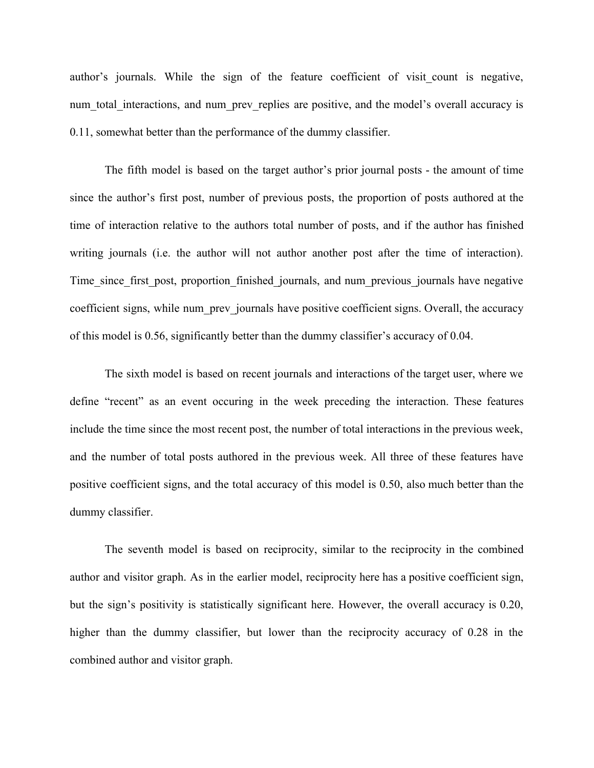author's journals. While the sign of the feature coefficient of visit count is negative, num total interactions, and num prev replies are positive, and the model's overall accuracy is 0.11, somewhat better than the performance of the dummy classifier.

The fifth model is based on the target author's prior journal posts - the amount of time since the author's first post, number of previous posts, the proportion of posts authored at the time of interaction relative to the authors total number of posts, and if the author has finished writing journals (i.e. the author will not author another post after the time of interaction). Time\_since\_first\_post, proportion\_finished\_journals, and num\_previous\_journals have negative coefficient signs, while num prev journals have positive coefficient signs. Overall, the accuracy of this model is 0.56, significantly better than the dummy classifier's accuracy of 0.04.

The sixth model is based on recent journals and interactions of the target user, where we define "recent" as an event occuring in the week preceding the interaction. These features include the time since the most recent post, the number of total interactions in the previous week, and the number of total posts authored in the previous week. All three of these features have positive coefficient signs, and the total accuracy of this model is 0.50, also much better than the dummy classifier.

The seventh model is based on reciprocity, similar to the reciprocity in the combined author and visitor graph. As in the earlier model, reciprocity here has a positive coefficient sign, but the sign's positivity is statistically significant here. However, the overall accuracy is 0.20, higher than the dummy classifier, but lower than the reciprocity accuracy of 0.28 in the combined author and visitor graph.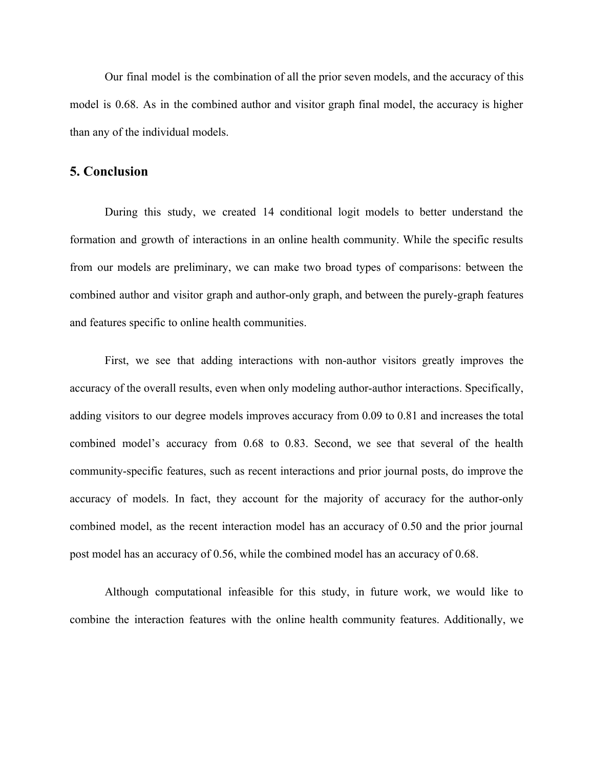Our final model is the combination of all the prior seven models, and the accuracy of this model is 0.68. As in the combined author and visitor graph final model, the accuracy is higher than any of the individual models.

### **5. Conclusion**

During this study, we created 14 conditional logit models to better understand the formation and growth of interactions in an online health community. While the specific results from our models are preliminary, we can make two broad types of comparisons: between the combined author and visitor graph and author-only graph, and between the purely-graph features and features specific to online health communities.

First, we see that adding interactions with non-author visitors greatly improves the accuracy of the overall results, even when only modeling author-author interactions. Specifically, adding visitors to our degree models improves accuracy from 0.09 to 0.81 and increases the total combined model's accuracy from 0.68 to 0.83. Second, we see that several of the health community-specific features, such as recent interactions and prior journal posts, do improve the accuracy of models. In fact, they account for the majority of accuracy for the author-only combined model, as the recent interaction model has an accuracy of 0.50 and the prior journal post model has an accuracy of 0.56, while the combined model has an accuracy of 0.68.

Although computational infeasible for this study, in future work, we would like to combine the interaction features with the online health community features. Additionally, we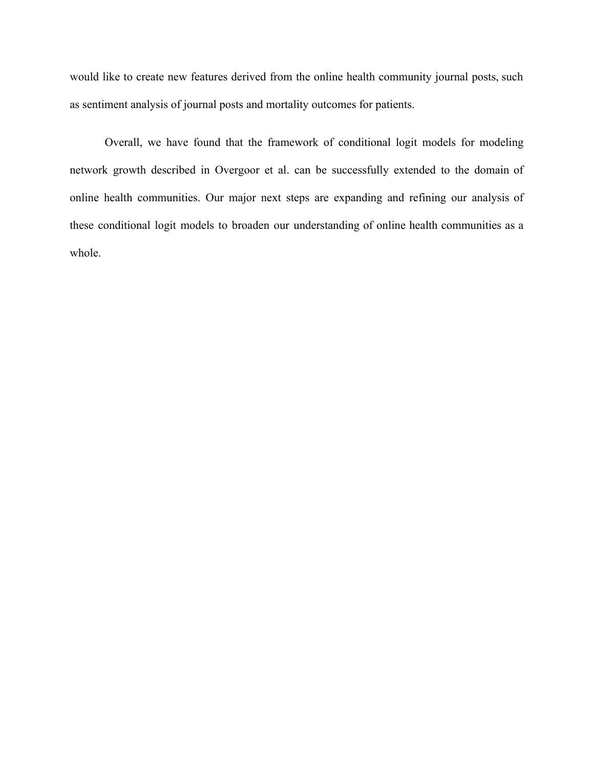would like to create new features derived from the online health community journal posts, such as sentiment analysis of journal posts and mortality outcomes for patients.

Overall, we have found that the framework of conditional logit models for modeling network growth described in Overgoor et al. can be successfully extended to the domain of online health communities. Our major next steps are expanding and refining our analysis of these conditional logit models to broaden our understanding of online health communities as a whole.